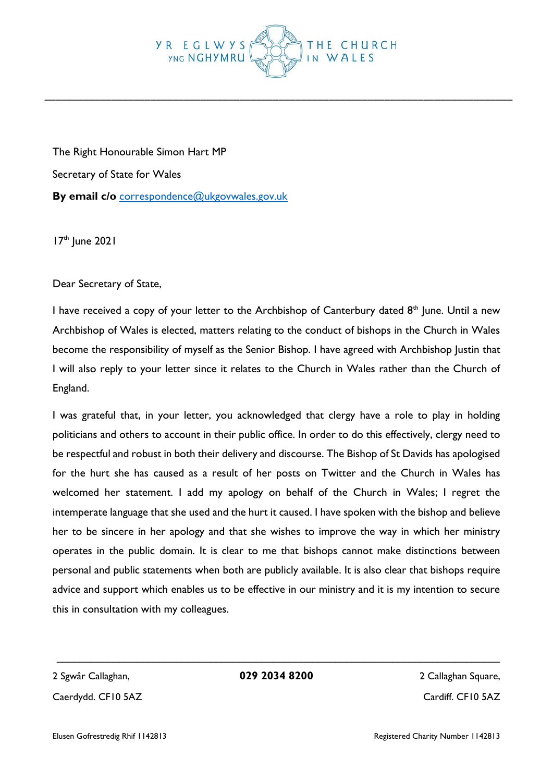## **YR EGLWYS YNG NGHYMRU** IN W

\_\_\_\_\_\_\_\_\_\_\_\_\_\_\_\_\_\_\_\_\_\_\_\_\_\_\_\_\_\_\_\_\_\_\_\_\_\_\_\_\_\_\_\_\_\_\_\_\_\_\_\_\_\_\_\_\_\_\_\_\_\_\_\_\_\_\_\_\_\_\_\_\_\_\_\_\_\_\_\_\_\_\_\_

The Right Honourable Simon Hart MP Secretary of State for Wales **By email c/o** [correspondence@ukgovwales.gov.uk](mailto:correspondence@ukgovwales.gov.uk)

 $17<sup>th</sup>$  June 2021

Dear Secretary of State,

I have received a copy of your letter to the Archbishop of Canterbury dated  $8<sup>th</sup>$  lune. Until a new Archbishop of Wales is elected, matters relating to the conduct of bishops in the Church in Wales become the responsibility of myself as the Senior Bishop. I have agreed with Archbishop Justin that I will also reply to your letter since it relates to the Church in Wales rather than the Church of England.

I was grateful that, in your letter, you acknowledged that clergy have a role to play in holding politicians and others to account in their public office. In order to do this effectively, clergy need to be respectful and robust in both their delivery and discourse. The Bishop of St Davids has apologised for the hurt she has caused as a result of her posts on Twitter and the Church in Wales has welcomed her statement. I add my apology on behalf of the Church in Wales; I regret the intemperate language that she used and the hurt it caused. I have spoken with the bishop and believe her to be sincere in her apology and that she wishes to improve the way in which her ministry operates in the public domain. It is clear to me that bishops cannot make distinctions between personal and public statements when both are publicly available. It is also clear that bishops require advice and support which enables us to be effective in our ministry and it is my intention to secure this in consultation with my colleagues.

Caerdydd. CF10 5AZ Caerdydd. CF10 5AZ

 $\mathcal{L}_\text{max}$  and  $\mathcal{L}_\text{max}$  and  $\mathcal{L}_\text{max}$  and  $\mathcal{L}_\text{max}$  and  $\mathcal{L}_\text{max}$  and  $\mathcal{L}_\text{max}$ 2 Sgwâr Callaghan, **029 2034 8200** 2 Callaghan Square,